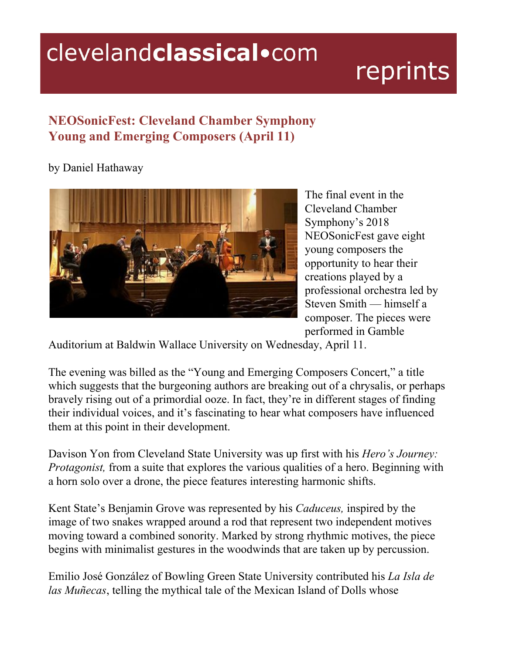## clevelandclassical.com

## reprints

## **NEOSonicFest: Cleveland Chamber Symphony Young and Emerging Composers (April 11)**

by Daniel Hathaway



The final event in the Cleveland Chamber Symphony's 2018 NEOSonicFest gave eight young composers the opportunity to hear their creations played by a professional orchestra led by Steven Smith — himself a composer. The pieces were performed in Gamble

Auditorium at Baldwin Wallace University on Wednesday, April 11.

The evening was billed as the "Young and Emerging Composers Concert," a title which suggests that the burgeoning authors are breaking out of a chrysalis, or perhaps bravely rising out of a primordial ooze. In fact, they're in different stages of finding their individual voices, and it's fascinating to hear what composers have influenced them at this point in their development.

Davison Yon from Cleveland State University was up first with his *Hero's Journey: Protagonist*, from a suite that explores the various qualities of a hero. Beginning with a horn solo over a drone, the piece features interesting harmonic shifts.

Kent State's Benjamin Grove was represented by his *Caduceus,* inspired by the image of two snakes wrapped around a rod that represent two independent motives moving toward a combined sonority. Marked by strong rhythmic motives, the piece begins with minimalist gestures in the woodwinds that are taken up by percussion.

Emilio José González of Bowling Green State University contributed his *La Isla de las Muñecas*, telling the mythical tale of the Mexican Island of Dolls whose